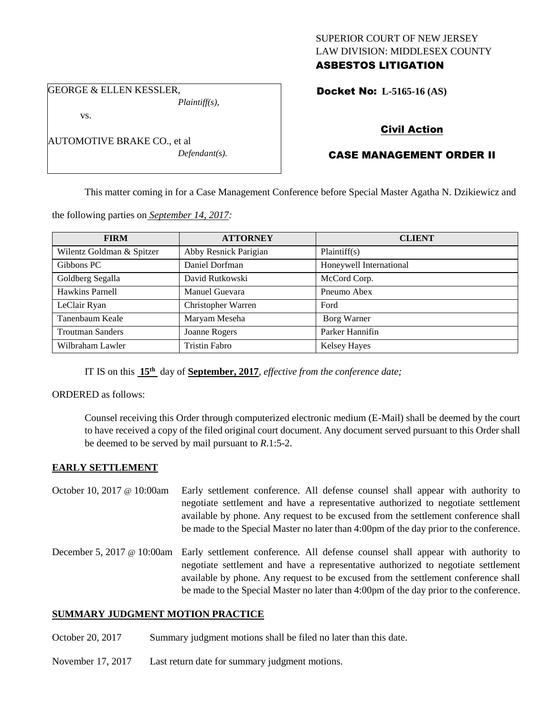### SUPERIOR COURT OF NEW JERSEY LAW DIVISION: MIDDLESEX COUNTY ASBESTOS LITIGATION

GEORGE & ELLEN KESSLER, *Plaintiff(s),*

vs.

AUTOMOTIVE BRAKE CO., et al *Defendant(s).* Docket No: **L-5165-16 (AS)** 

# Civil Action

# CASE MANAGEMENT ORDER II

This matter coming in for a Case Management Conference before Special Master Agatha N. Dzikiewicz and

the following parties on *September 14, 2017:*

| <b>FIRM</b>               | <b>ATTORNEY</b>       | <b>CLIENT</b>           |
|---------------------------|-----------------------|-------------------------|
| Wilentz Goldman & Spitzer | Abby Resnick Parigian | Plaintiff(s)            |
| Gibbons PC                | Daniel Dorfman        | Honeywell International |
| Goldberg Segalla          | David Rutkowski       | McCord Corp.            |
| Hawkins Parnell           | Manuel Guevara        | Pneumo Abex             |
| LeClair Ryan              | Christopher Warren    | Ford                    |
| Tanenbaum Keale           | Maryam Meseha         | Borg Warner             |
| <b>Troutman Sanders</b>   | Joanne Rogers         | Parker Hannifin         |
| Wilbraham Lawler          | Tristin Fabro         | <b>Kelsey Hayes</b>     |

IT IS on this **15th** day of **September, 2017**, *effective from the conference date;*

ORDERED as follows:

Counsel receiving this Order through computerized electronic medium (E-Mail) shall be deemed by the court to have received a copy of the filed original court document. Any document served pursuant to this Order shall be deemed to be served by mail pursuant to *R*.1:5-2.

## **EARLY SETTLEMENT**

- October 10, 2017 @ 10:00am Early settlement conference. All defense counsel shall appear with authority to negotiate settlement and have a representative authorized to negotiate settlement available by phone. Any request to be excused from the settlement conference shall be made to the Special Master no later than 4:00pm of the day prior to the conference.
- December 5, 2017 @ 10:00am Early settlement conference. All defense counsel shall appear with authority to negotiate settlement and have a representative authorized to negotiate settlement available by phone. Any request to be excused from the settlement conference shall be made to the Special Master no later than 4:00pm of the day prior to the conference.

## **SUMMARY JUDGMENT MOTION PRACTICE**

October 20, 2017 Summary judgment motions shall be filed no later than this date.

November 17, 2017 Last return date for summary judgment motions.